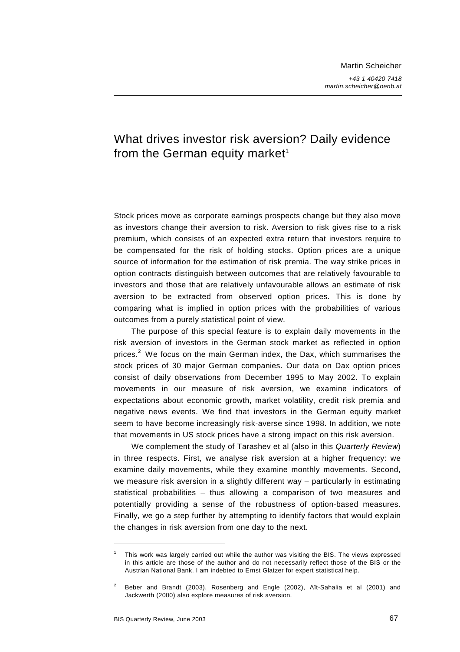# What drives investor risk aversion? Daily evidence from the German equity market<sup>1</sup>

Stock prices move as corporate earnings prospects change but they also move as investors change their aversion to risk. Aversion to risk gives rise to a risk premium, which consists of an expected extra return that investors require to be compensated for the risk of holding stocks. Option prices are a unique source of information for the estimation of risk premia. The way strike prices in option contracts distinguish between outcomes that are relatively favourable to investors and those that are relatively unfavourable allows an estimate of risk aversion to be extracted from observed option prices. This is done by comparing what is implied in option prices with the probabilities of various outcomes from a purely statistical point of view.

The purpose of this special feature is to explain daily movements in the risk aversion of investors in the German stock market as reflected in option prices.<sup>2</sup> We focus on the main German index, the Dax, which summarises the stock prices of 30 major German companies. Our data on Dax option prices consist of daily observations from December 1995 to May 2002. To explain movements in our measure of risk aversion, we examine indicators of expectations about economic growth, market volatility, credit risk premia and negative news events. We find that investors in the German equity market seem to have become increasingly risk-averse since 1998. In addition, we note that movements in US stock prices have a strong impact on this risk aversion.

We complement the study of Tarashev et al (also in this *Quarterly Review*) in three respects. First, we analyse risk aversion at a higher frequency: we examine daily movements, while they examine monthly movements. Second, we measure risk aversion in a slightly different way – particularly in estimating statistical probabilities – thus allowing a comparison of two measures and potentially providing a sense of the robustness of option-based measures. Finally, we go a step further by attempting to identify factors that would explain the changes in risk aversion from one day to the next.

<sup>1</sup> This work was largely carried out while the author was visiting the BIS. The views expressed in this article are those of the author and do not necessarily reflect those of the BIS or the Austrian National Bank. I am indebted to Ernst Glatzer for expert statistical help.

<sup>2</sup> Beber and Brandt (2003), Rosenberg and Engle (2002), Aït-Sahalia et al (2001) and Jackwerth (2000) also explore measures of risk aversion.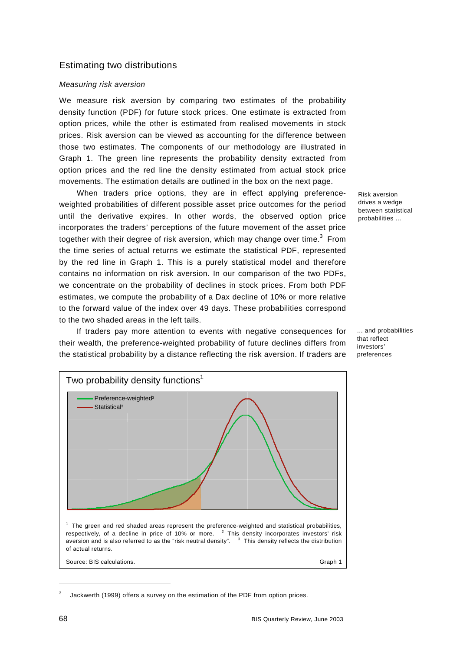### Estimating two distributions

### *Measuring risk aversion*

We measure risk aversion by comparing two estimates of the probability density function (PDF) for future stock prices. One estimate is extracted from option prices, while the other is estimated from realised movements in stock prices. Risk aversion can be viewed as accounting for the difference between those two estimates. The components of our methodology are illustrated in Graph 1. The green line represents the probability density extracted from option prices and the red line the density estimated from actual stock price movements. The estimation details are outlined in the box on the next page.

When traders price options, they are in effect applying preferenceweighted probabilities of different possible asset price outcomes for the period until the derivative expires. In other words, the observed option price incorporates the traders' perceptions of the future movement of the asset price together with their degree of risk aversion, which may change over time. $^3\,$  From the time series of actual returns we estimate the statistical PDF, represented by the red line in Graph 1. This is a purely statistical model and therefore contains no information on risk aversion. In our comparison of the two PDFs, we concentrate on the probability of declines in stock prices. From both PDF estimates, we compute the probability of a Dax decline of 10% or more relative to the forward value of the index over 49 days. These probabilities correspond to the two shaded areas in the left tails.

If traders pay more attention to events with negative consequences for their wealth, the preference-weighted probability of future declines differs from the statistical probability by a distance reflecting the risk aversion. If traders are



Jackwerth (1999) offers a survey on the estimation of the PDF from option prices.

Risk aversion drives a wedge between statistical probabilities ...

... and probabilities that reflect investors' preferences

3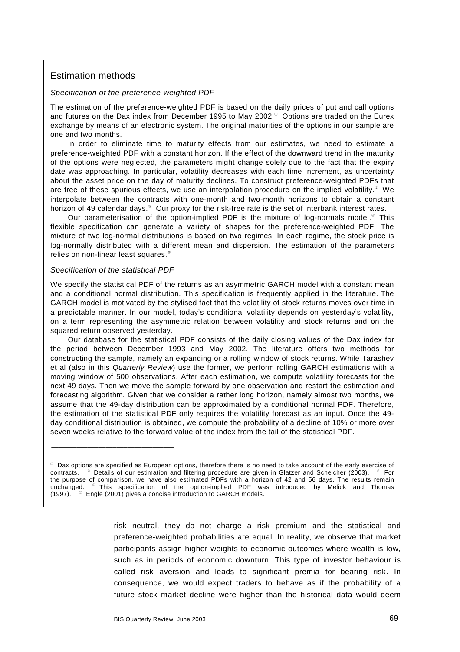## Estimation methods

### *Specification of the preference-weighted PDF*

The estimation of the preference-weighted PDF is based on the daily prices of put and call options and futures on the Dax index from December 1995 to May 2002. $^{\circ}$  Options are traded on the Eurex exchange by means of an electronic system. The original maturities of the options in our sample are one and two months.

In order to eliminate time to maturity effects from our estimates, we need to estimate a preference-weighted PDF with a constant horizon. If the effect of the downward trend in the maturity of the options were neglected, the parameters might change solely due to the fact that the expiry date was approaching. In particular, volatility decreases with each time increment, as uncertainty about the asset price on the day of maturity declines. To construct preference-weighted PDFs that are free of these spurious effects, we use an interpolation procedure on the implied volatility.<sup>2</sup> We interpolate between the contracts with one-month and two-month horizons to obtain a constant horizon of 49 calendar days.  $^{\circ}$  Our proxy for the risk-free rate is the set of interbank interest rates.

Our parameterisation of the option-implied PDF is the mixture of log-normals model. $\degree$  This flexible specification can generate a variety of shapes for the preference-weighted PDF. The mixture of two log-normal distributions is based on two regimes. In each regime, the stock price is log-normally distributed with a different mean and dispersion. The estimation of the parameters relies on non-linear least squares.

#### *Specification of the statistical PDF*

\_\_\_\_\_\_\_\_\_\_\_\_\_\_\_\_\_\_\_\_\_\_\_\_\_\_\_\_\_\_\_\_\_\_

We specify the statistical PDF of the returns as an asymmetric GARCH model with a constant mean and a conditional normal distribution. This specification is frequently applied in the literature. The GARCH model is motivated by the stylised fact that the volatility of stock returns moves over time in a predictable manner. In our model, today's conditional volatility depends on yesterday's volatility, on a term representing the asymmetric relation between volatility and stock returns and on the squared return observed yesterday.

Our database for the statistical PDF consists of the daily closing values of the Dax index for the period between December 1993 and May 2002. The literature offers two methods for constructing the sample, namely an expanding or a rolling window of stock returns. While Tarashev et al (also in this *Quarterly Review*) use the former, we perform rolling GARCH estimations with a moving window of 500 observations. After each estimation, we compute volatility forecasts for the next 49 days. Then we move the sample forward by one observation and restart the estimation and forecasting algorithm. Given that we consider a rather long horizon, namely almost two months, we assume that the 49-day distribution can be approximated by a conditional normal PDF. Therefore, the estimation of the statistical PDF only requires the volatility forecast as an input. Once the 49 day conditional distribution is obtained, we compute the probability of a decline of 10% or more over seven weeks relative to the forward value of the index from the tail of the statistical PDF.

risk neutral, they do not charge a risk premium and the statistical and preference-weighted probabilities are equal. In reality, we observe that market participants assign higher weights to economic outcomes where wealth is low, such as in periods of economic downturn. This type of investor behaviour is called risk aversion and leads to significant premia for bearing risk. In consequence, we would expect traders to behave as if the probability of a future stock market decline were higher than the historical data would deem

 $\degree$  Dax options are specified as European options, therefore there is no need to take account of the early exercise of contracts.  $\degree$  Details of our estimation and filtering procedure are given in Glatzer and Scheicher (2003).  $\degree$  For the purpose of comparison, we have also estimated PDFs with a horizon of 42 and 56 days. The results remain unchanged. <sup>®</sup> This specification of the option-implied PDF was introduced by Melick and Thomas (1997). Engle (2001) gives a concise introduction to GARCH models.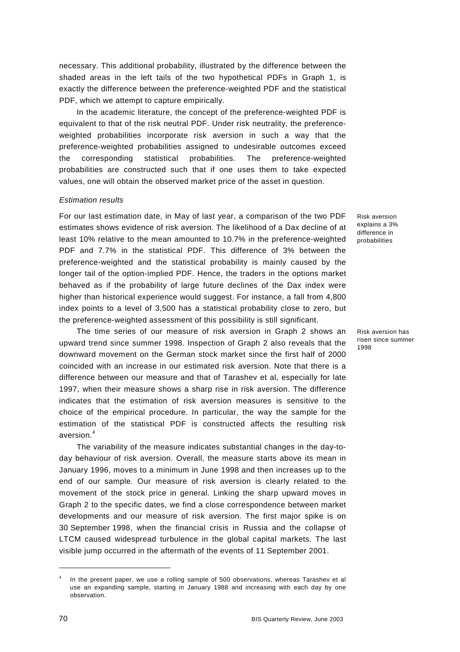necessary. This additional probability, illustrated by the difference between the shaded areas in the left tails of the two hypothetical PDFs in Graph 1, is exactly the difference between the preference-weighted PDF and the statistical PDF, which we attempt to capture empirically.

In the academic literature, the concept of the preference-weighted PDF is equivalent to that of the risk neutral PDF. Under risk neutrality, the preferenceweighted probabilities incorporate risk aversion in such a way that the preference-weighted probabilities assigned to undesirable outcomes exceed the corresponding statistical probabilities. The preference-weighted probabilities are constructed such that if one uses them to take expected values, one will obtain the observed market price of the asset in question.

#### *Estimation results*

For our last estimation date, in May of last year, a comparison of the two PDF estimates shows evidence of risk aversion. The likelihood of a Dax decline of at least 10% relative to the mean amounted to 10.7% in the preference-weighted PDF and 7.7% in the statistical PDF. This difference of 3% between the preference-weighted and the statistical probability is mainly caused by the longer tail of the option-implied PDF. Hence, the traders in the options market behaved as if the probability of large future declines of the Dax index were higher than historical experience would suggest. For instance, a fall from 4,800 index points to a level of 3,500 has a statistical probability close to zero, but the preference-weighted assessment of this possibility is still significant.

The time series of our measure of risk aversion in Graph 2 shows an upward trend since summer 1998. Inspection of Graph 2 also reveals that the downward movement on the German stock market since the first half of 2000 coincided with an increase in our estimated risk aversion. Note that there is a difference between our measure and that of Tarashev et al, especially for late 1997, when their measure shows a sharp rise in risk aversion. The difference indicates that the estimation of risk aversion measures is sensitive to the choice of the empirical procedure. In particular, the way the sample for the estimation of the statistical PDF is constructed affects the resulting risk aversion. $^4\,$ 

The variability of the measure indicates substantial changes in the day-today behaviour of risk aversion. Overall, the measure starts above its mean in January 1996, moves to a minimum in June 1998 and then increases up to the end of our sample. Our measure of risk aversion is clearly related to the movement of the stock price in general. Linking the sharp upward moves in Graph 2 to the specific dates, we find a close correspondence between market developments and our measure of risk aversion. The first major spike is on 30 September 1998, when the financial crisis in Russia and the collapse of LTCM caused widespread turbulence in the global capital markets. The last visible jump occurred in the aftermath of the events of 11 September 2001.

Risk aversion explains a 3% difference in probabilities

Risk aversion has risen since summer 1998

<sup>4</sup> In the present paper, we use a rolling sample of 500 observations, whereas Tarashev et al use an expanding sample, starting in January 1988 and increasing with each day by one observation.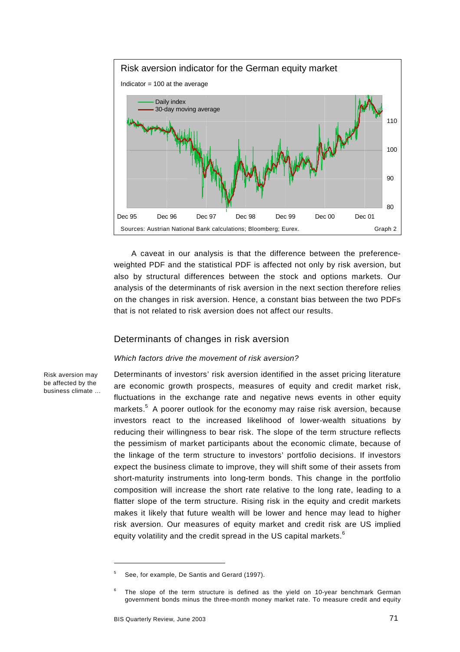

A caveat in our analysis is that the difference between the preferenceweighted PDF and the statistical PDF is affected not only by risk aversion, but also by structural differences between the stock and options markets. Our analysis of the determinants of risk aversion in the next section therefore relies on the changes in risk aversion. Hence, a constant bias between the two PDFs that is not related to risk aversion does not affect our results.

### Determinants of changes in risk aversion

#### *Which factors drive the movement of risk aversion?*

Risk aversion may be affected by the business climate … Determinants of investors' risk aversion identified in the asset pricing literature are economic growth prospects, measures of equity and credit market risk, fluctuations in the exchange rate and negative news events in other equity markets.<sup>5</sup> A poorer outlook for the economy may raise risk aversion, because investors react to the increased likelihood of lower-wealth situations by reducing their willingness to bear risk. The slope of the term structure reflects the pessimism of market participants about the economic climate, because of the linkage of the term structure to investors' portfolio decisions. If investors expect the business climate to improve, they will shift some of their assets from short-maturity instruments into long-term bonds. This change in the portfolio composition will increase the short rate relative to the long rate, leading to a flatter slope of the term structure. Rising risk in the equity and credit markets makes it likely that future wealth will be lower and hence may lead to higher risk aversion. Our measures of equity market and credit risk are US implied equity volatility and the credit spread in the US capital markets.<sup>6</sup>

<sup>5</sup> See, for example, De Santis and Gerard (1997).

<sup>6</sup> The slope of the term structure is defined as the yield on 10-year benchmark German government bonds minus the three-month money market rate. To measure credit and equity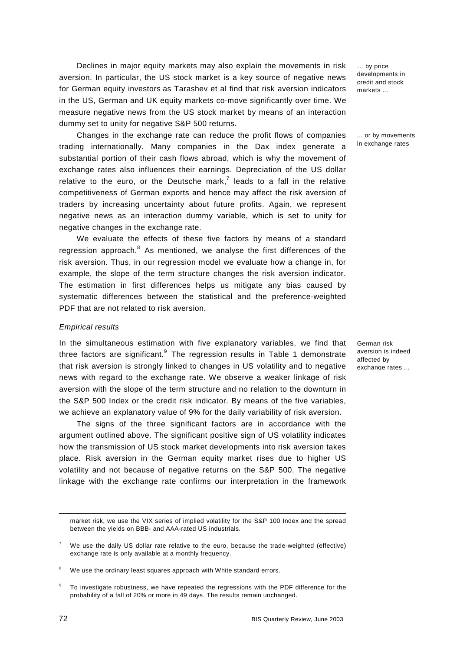Declines in major equity markets may also explain the movements in risk aversion. In particular, the US stock market is a key source of negative news for German equity investors as Tarashev et al find that risk aversion indicators in the US, German and UK equity markets co-move significantly over time. We measure negative news from the US stock market by means of an interaction dummy set to unity for negative S&P 500 returns.

Changes in the exchange rate can reduce the profit flows of companies trading internationally. Many companies in the Dax index generate a substantial portion of their cash flows abroad, which is why the movement of exchange rates also influences their earnings. Depreciation of the US dollar relative to the euro, or the Deutsche mark,<sup>7</sup> leads to a fall in the relative competitiveness of German exports and hence may affect the risk aversion of traders by increasing uncertainty about future profits. Again, we represent negative news as an interaction dummy variable, which is set to unity for negative changes in the exchange rate.

We evaluate the effects of these five factors by means of a standard regression approach.<sup>8</sup> As mentioned, we analyse the first differences of the risk aversion. Thus, in our regression model we evaluate how a change in, for example, the slope of the term structure changes the risk aversion indicator. The estimation in first differences helps us mitigate any bias caused by systematic differences between the statistical and the preference-weighted PDF that are not related to risk aversion.

#### *Empirical results*

In the simultaneous estimation with five explanatory variables, we find that three factors are significant. $^{9}$  The regression results in Table 1 demonstrate that risk aversion is strongly linked to changes in US volatility and to negative news with regard to the exchange rate. We observe a weaker linkage of risk aversion with the slope of the term structure and no relation to the downturn in the S&P 500 Index or the credit risk indicator. By means of the five variables, we achieve an explanatory value of 9% for the daily variability of risk aversion.

The signs of the three significant factors are in accordance with the argument outlined above. The significant positive sign of US volatility indicates how the transmission of US stock market developments into risk aversion takes place. Risk aversion in the German equity market rises due to higher US volatility and not because of negative returns on the S&P 500. The negative linkage with the exchange rate confirms our interpretation in the framework

... or by movements in exchange rates

German risk aversion is indeed affected by exchange rates ...

market risk, we use the VIX series of implied volatility for the S&P 100 Index and the spread between the yields on BBB- and AAA-rated US industrials.

<sup>7</sup> We use the daily US dollar rate relative to the euro, because the trade-weighted (effective) exchange rate is only available at a monthly frequency.

<sup>8</sup> We use the ordinary least squares approach with White standard errors.

<sup>9</sup> To investigate robustness, we have repeated the regressions with the PDF difference for the probability of a fall of 20% or more in 49 days. The results remain unchanged.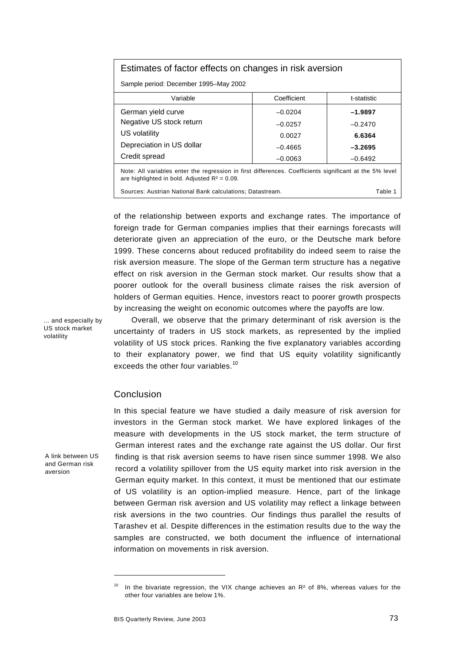### Estimates of factor effects on changes in risk aversion

Sample period: December 1995–May 2002

| Variable                                                                                                | Coefficient | t-statistic |
|---------------------------------------------------------------------------------------------------------|-------------|-------------|
| German yield curve                                                                                      | $-0.0204$   | $-1.9897$   |
| Negative US stock return                                                                                | $-0.0257$   | $-0.2470$   |
| US volatility                                                                                           | 0.0027      | 6.6364      |
| Depreciation in US dollar                                                                               | $-0.4665$   | $-3.2695$   |
| Credit spread                                                                                           | $-0.0063$   | $-0.6492$   |
| Note: All variables enter the regression in first differences. Coefficients significant at the 5% level |             |             |

ion in first differences. Coefficients sign are highlighted in bold. Adjusted  $R^2 = 0.09$ .

Sources: Austrian National Bank calculations; Datastream. The manufacture of the 1 Table 1

of the relationship between exports and exchange rates. The importance of foreign trade for German companies implies that their earnings forecasts will deteriorate given an appreciation of the euro, or the Deutsche mark before 1999. These concerns about reduced profitability do indeed seem to raise the risk aversion measure. The slope of the German term structure has a negative effect on risk aversion in the German stock market. Our results show that a poorer outlook for the overall business climate raises the risk aversion of holders of German equities. Hence, investors react to poorer growth prospects by increasing the weight on economic outcomes where the payoffs are low.

. and especially by US stock market volatility

A link between US and German risk aversion

Overall, we observe that the primary determinant of risk aversion is the uncertainty of traders in US stock markets, as represented by the implied volatility of US stock prices. Ranking the five explanatory variables according to their explanatory power, we find that US equity volatility significantly exceeds the other four variables.<sup>10</sup>

### Conclusion

In this special feature we have studied a daily measure of risk aversion for investors in the German stock market. We have explored linkages of the measure with developments in the US stock market, the term structure of German interest rates and the exchange rate against the US dollar. Our first finding is that risk aversion seems to have risen since summer 1998. We also record a volatility spillover from the US equity market into risk aversion in the German equity market. In this context, it must be mentioned that our estimate of US volatility is an option-implied measure. Hence, part of the linkage between German risk aversion and US volatility may reflect a linkage between risk aversions in the two countries. Our findings thus parallel the results of Tarashev et al. Despite differences in the estimation results due to the way the samples are constructed, we both document the influence of international information on movements in risk aversion.

<sup>&</sup>lt;sup>10</sup> In the bivariate regression, the VIX change achieves an  $R<sup>2</sup>$  of 8%, whereas values for the other four variables are below 1%.